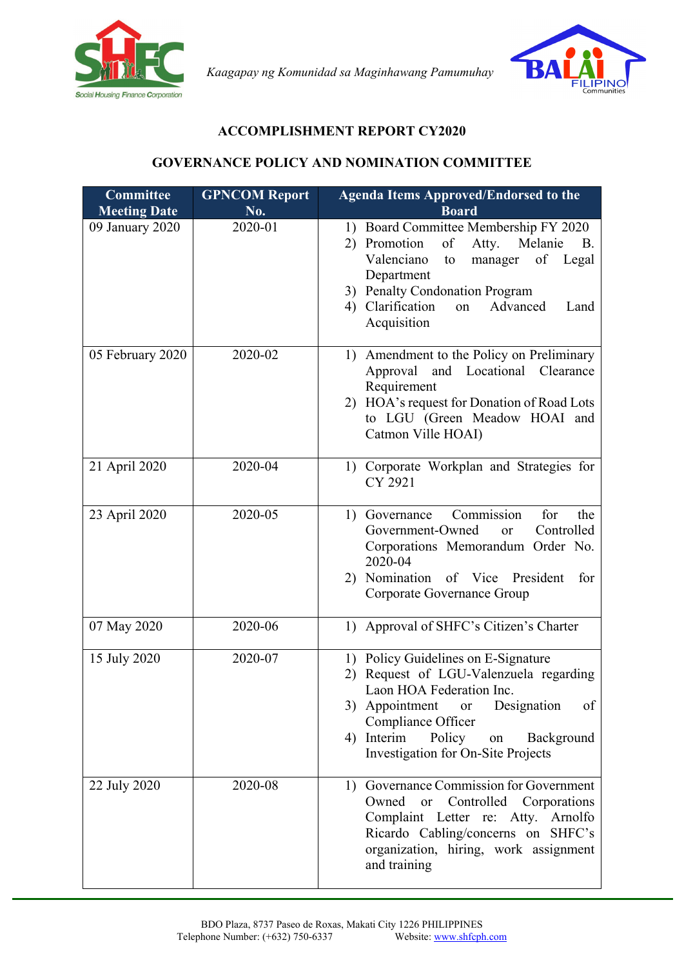

*Kaagapay ng Komunidad sa Maginhawang Pamumuhay*



## **ACCOMPLISHMENT REPORT CY2020**

## **GOVERNANCE POLICY AND NOMINATION COMMITTEE**

| <b>Committee</b><br><b>Meeting Date</b> | <b>GPNCOM Report</b><br>No. | <b>Agenda Items Approved/Endorsed to the</b><br><b>Board</b>                                                                                                                                                                                                                |
|-----------------------------------------|-----------------------------|-----------------------------------------------------------------------------------------------------------------------------------------------------------------------------------------------------------------------------------------------------------------------------|
| 09 January 2020                         | 2020-01                     | 1) Board Committee Membership FY 2020<br>Promotion<br>of<br>Atty.<br>Melanie<br><b>B.</b><br>2)<br>Valenciano<br>of<br>Legal<br>manager<br>to<br>Department<br>3) Penalty Condonation Program<br>4) Clarification<br>Advanced<br>on<br>Land<br>Acquisition                  |
| 05 February 2020                        | 2020-02                     | Amendment to the Policy on Preliminary<br>1)<br>Approval and Locational Clearance<br>Requirement<br>2) HOA's request for Donation of Road Lots<br>to LGU (Green Meadow HOAI and<br>Catmon Ville HOAI)                                                                       |
| 21 April 2020                           | 2020-04                     | 1) Corporate Workplan and Strategies for<br>CY 2921                                                                                                                                                                                                                         |
| 23 April 2020                           | 2020-05                     | Commission<br>for<br>1) Governance<br>the<br>Government-Owned<br>Controlled<br>or<br>Corporations Memorandum Order No.<br>2020-04<br>2) Nomination of Vice President<br>for<br>Corporate Governance Group                                                                   |
| 07 May 2020                             | 2020-06                     | Approval of SHFC's Citizen's Charter<br>1)                                                                                                                                                                                                                                  |
| 15 July 2020                            | 2020-07                     | 1) Policy Guidelines on E-Signature<br>Request of LGU-Valenzuela regarding<br>2)<br>Laon HOA Federation Inc.<br>Designation<br>3) Appointment<br><b>or</b><br>οf<br>Compliance Officer<br>Interim<br>Policy<br>Background<br>4)<br>on<br>Investigation for On-Site Projects |
| 22 July 2020                            | 2020-08                     | Governance Commission for Government<br>1)<br>Owned<br>Controlled<br>Corporations<br><b>or</b><br>Complaint Letter re: Atty. Arnolfo<br>Ricardo Cabling/concerns on SHFC's<br>organization, hiring, work assignment<br>and training                                         |

ī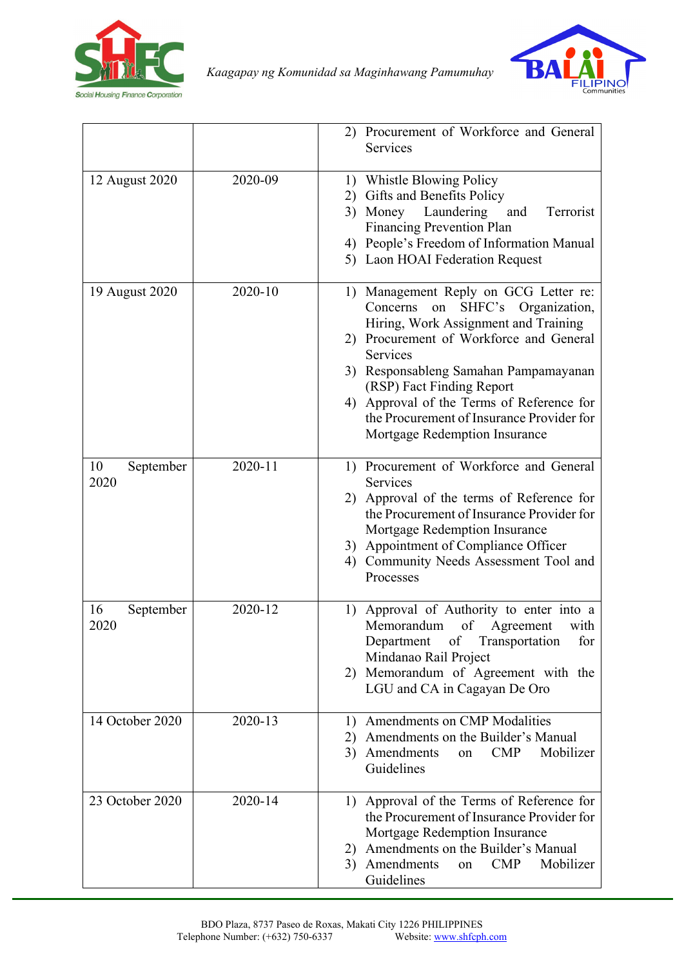

*Kaagapay ng Komunidad sa Maginhawang Pamumuhay*



|                         |         | 2) Procurement of Workforce and General<br>Services                                                                                                                                                                                                                                                                                                                                |
|-------------------------|---------|------------------------------------------------------------------------------------------------------------------------------------------------------------------------------------------------------------------------------------------------------------------------------------------------------------------------------------------------------------------------------------|
| 12 August 2020          | 2020-09 | 1) Whistle Blowing Policy<br>Gifts and Benefits Policy<br>2)<br>3) Money Laundering<br>and<br>Terrorist<br><b>Financing Prevention Plan</b><br>4) People's Freedom of Information Manual<br>5) Laon HOAI Federation Request                                                                                                                                                        |
| 19 August 2020          | 2020-10 | Management Reply on GCG Letter re:<br>1)<br>Concerns<br>SHFC's Organization,<br>on<br>Hiring, Work Assignment and Training<br>2) Procurement of Workforce and General<br>Services<br>3) Responsableng Samahan Pampamayanan<br>(RSP) Fact Finding Report<br>4) Approval of the Terms of Reference for<br>the Procurement of Insurance Provider for<br>Mortgage Redemption Insurance |
| 10<br>September<br>2020 | 2020-11 | 1) Procurement of Workforce and General<br>Services<br>2) Approval of the terms of Reference for<br>the Procurement of Insurance Provider for<br>Mortgage Redemption Insurance<br>3) Appointment of Compliance Officer<br>Community Needs Assessment Tool and<br>4)<br>Processes                                                                                                   |
| September<br>16<br>2020 | 2020-12 | Approval of Authority to enter into a<br>1)<br>Memorandum<br>of<br>Agreement<br>with<br>Department<br>of Transportation<br>for<br>Mindanao Rail Project<br>Memorandum of Agreement with the<br>2)<br>LGU and CA in Cagayan De Oro                                                                                                                                                  |
| 14 October 2020         | 2020-13 | Amendments on CMP Modalities<br>1)<br>Amendments on the Builder's Manual<br>2)<br>Mobilizer<br>Amendments<br>$\mathbf{CMP}$<br>3)<br>on<br>Guidelines                                                                                                                                                                                                                              |
| 23 October 2020         | 2020-14 | Approval of the Terms of Reference for<br>1)<br>the Procurement of Insurance Provider for<br>Mortgage Redemption Insurance<br>Amendments on the Builder's Manual<br>2)<br>Amendments<br><b>CMP</b><br>Mobilizer<br>3)<br>on<br>Guidelines                                                                                                                                          |

ī